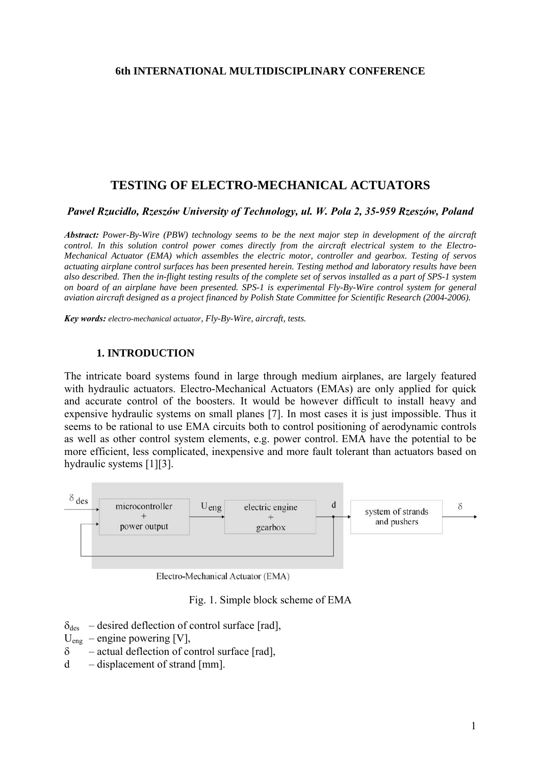#### **6th INTERNATIONAL MULTIDISCIPLINARY CONFERENCE**

# **TESTING OF ELECTRO-MECHANICAL ACTUATORS**

*Paweł Rzucidło, Rzeszów University of Technology, ul. W. Pola 2, 35-959 Rzeszów, Poland*

*Abstract: Power-By-Wire (PBW) technology seems to be the next major step in development of the aircraft control. In this solution control power comes directly from the aircraft electrical system to the Electro-Mechanical Actuator (EMA) which assembles the electric motor, controller and gearbox. Testing of servos actuating airplane control surfaces has been presented herein. Testing method and laboratory results have been also described. Then the in-flight testing results of the complete set of servos installed as a part of SPS-1 system on board of an airplane have been presented. SPS-1 is experimental Fly-By-Wire control system for general aviation aircraft designed as a project financed by Polish State Committee for Scientific Research (2004-2006).*

*Key words: electro-mechanical actuator, Fly-By-Wire, aircraft, tests.*

### **1. INTRODUCTION**

The intricate board systems found in large through medium airplanes, are largely featured with hydraulic actuators. Electro-Mechanical Actuators (EMAs) are only applied for quick and accurate control of the boosters. It would be however difficult to install heavy and expensive hydraulic systems on small planes [7]. In most cases it is just impossible. Thus it seems to be rational to use EMA circuits both to control positioning of aerodynamic controls as well as other control system elements, e.g. power control. EMA have the potential to be more efficient, less complicated, inexpensive and more fault tolerant than actuators based on hydraulic systems [1][3].



Electro-Mechanical Actuator (EMA)

Fig. 1. Simple block scheme of EMA

- $\delta_{des}$  desired deflection of control surface [rad],
- $U_{eng}$  engine powering [V],
- $\delta$  actual deflection of control surface [rad],
- d displacement of strand [mm].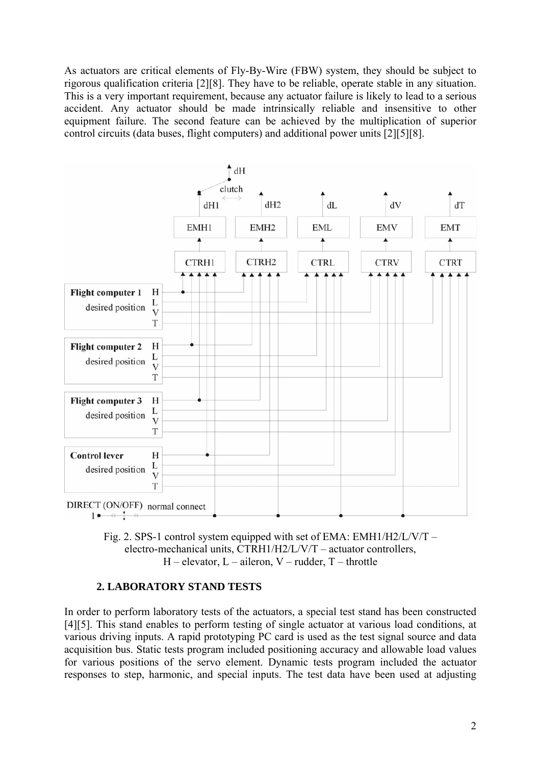As actuators are critical elements of Fly-By-Wire (FBW) system, they should be subject to rigorous qualification criteria [2][8]. They have to be reliable, operate stable in any situation. This is a very important requirement, because any actuator failure is likely to lead to a serious accident. Any actuator should be made intrinsically reliable and insensitive to other equipment failure. The second feature can be achieved by the multiplication of superior control circuits (data buses, flight computers) and additional power units [2][5][8].





# **2. LABORATORY STAND TESTS**

In order to perform laboratory tests of the actuators, a special test stand has been constructed [4][5]. This stand enables to perform testing of single actuator at various load conditions, at various driving inputs. A rapid prototyping PC card is used as the test signal source and data acquisition bus. Static tests program included positioning accuracy and allowable load values for various positions of the servo element. Dynamic tests program included the actuator responses to step, harmonic, and special inputs. The test data have been used at adjusting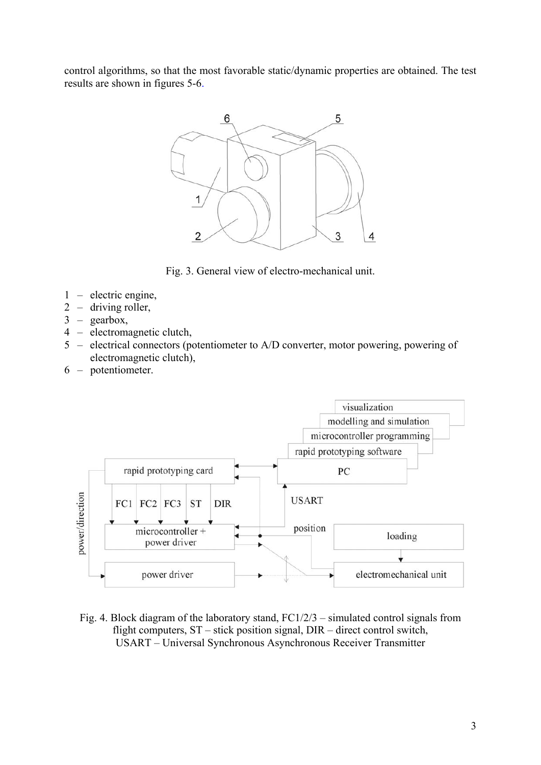control algorithms, so that the most favorable static/dynamic properties are obtained. The test results are shown in figures 5-6.



Fig. 3. General view of electro-mechanical unit.

- 1 electric engine,
- 2 driving roller,
- 3 gearbox,
- 4 electromagnetic clutch,
- 5 electrical connectors (potentiometer to A/D converter, motor powering, powering of electromagnetic clutch),
- 6 potentiometer.



Fig. 4. Block diagram of the laboratory stand, FC1/2/3 – simulated control signals from flight computers, ST – stick position signal, DIR – direct control switch, USART – Universal Synchronous Asynchronous Receiver Transmitter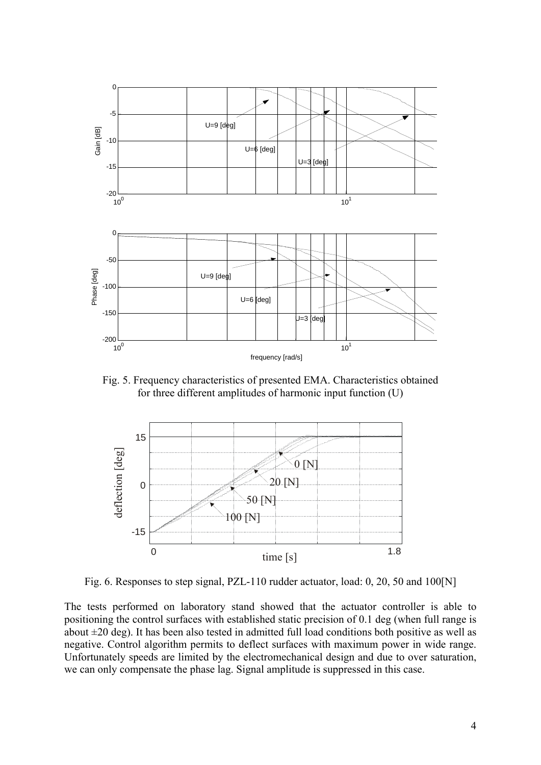

Fig. 5. Frequency characteristics of presented EMA. Characteristics obtained for three different amplitudes of harmonic input function (U)



Fig. 6. Responses to step signal, PZL-110 rudder actuator, load: 0, 20, 50 and 100[N]

The tests performed on laboratory stand showed that the actuator controller is able to positioning the control surfaces with established static precision of 0.1 deg (when full range is about  $\pm 20$  deg). It has been also tested in admitted full load conditions both positive as well as negative. Control algorithm permits to deflect surfaces with maximum power in wide range. Unfortunately speeds are limited by the electromechanical design and due to over saturation, we can only compensate the phase lag. Signal amplitude is suppressed in this case.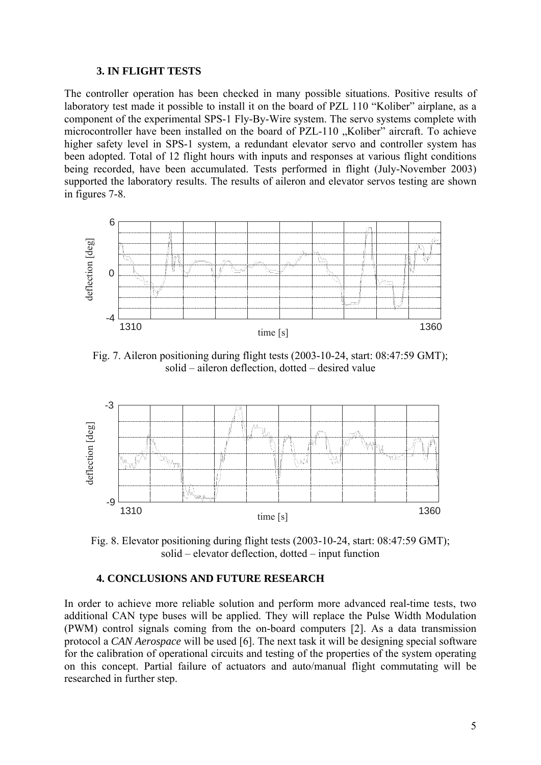#### **3. IN FLIGHT TESTS**

The controller operation has been checked in many possible situations. Positive results of laboratory test made it possible to install it on the board of PZL 110 "Koliber" airplane, as a component of the experimental SPS-1 Fly-By-Wire system. The servo systems complete with microcontroller have been installed on the board of PZL-110 "Koliber" aircraft. To achieve higher safety level in SPS-1 system, a redundant elevator servo and controller system has been adopted. Total of 12 flight hours with inputs and responses at various flight conditions being recorded, have been accumulated. Tests performed in flight (July-November 2003) supported the laboratory results. The results of aileron and elevator servos testing are shown in figures 7-8.



Fig. 7. Aileron positioning during flight tests (2003-10-24, start: 08:47:59 GMT); solid – aileron deflection, dotted – desired value



Fig. 8. Elevator positioning during flight tests (2003-10-24, start: 08:47:59 GMT); solid – elevator deflection, dotted – input function

## **4. CONCLUSIONS AND FUTURE RESEARCH**

In order to achieve more reliable solution and perform more advanced real-time tests, two additional CAN type buses will be applied. They will replace the Pulse Width Modulation (PWM) control signals coming from the on-board computers [2]. As a data transmission protocol a *CAN Aerospace* will be used [6]. The next task it will be designing special software for the calibration of operational circuits and testing of the properties of the system operating on this concept. Partial failure of actuators and auto/manual flight commutating will be researched in further step.